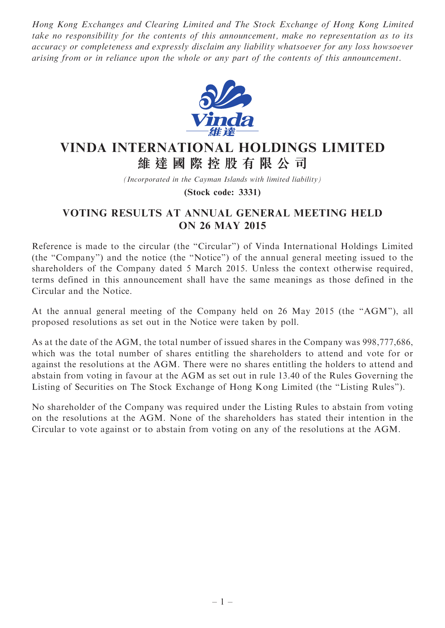Hong Kong Exchanges and Clearing Limited and The Stock Exchange of Hong Kong Limited take no responsibility for the contents of this announcement, make no representation as to its accuracy or completeness and expressly disclaim any liability whatsoever for any loss howsoever arising from or in reliance upon the whole or any part of the contents of this announcement.



## VINDA INTERNATIONAL HOLDINGS LIMITED 維 達 國 際 控 股 有 限 公 司

(Incorporated in the Cayman Islands with limited liability)

(Stock code: 3331)

## VOTING RESULTS AT ANNUAL GENERAL MEETING HELD ON 26 MAY 2015

Reference is made to the circular (the "Circular") of Vinda International Holdings Limited (the ''Company'') and the notice (the ''Notice'') of the annual general meeting issued to the shareholders of the Company dated 5 March 2015. Unless the context otherwise required, terms defined in this announcement shall have the same meanings as those defined in the Circular and the Notice.

At the annual general meeting of the Company held on 26 May 2015 (the ''AGM''), all proposed resolutions as set out in the Notice were taken by poll.

As at the date of the AGM, the total number of issued shares in the Company was 998,777,686, which was the total number of shares entitling the shareholders to attend and vote for or against the resolutions at the AGM. There were no shares entitling the holders to attend and abstain from voting in favour at the AGM as set out in rule 13.40 of the Rules Governing the Listing of Securities on The Stock Exchange of Hong Kong Limited (the ''Listing Rules'').

No shareholder of the Company was required under the Listing Rules to abstain from voting on the resolutions at the AGM. None of the shareholders has stated their intention in the Circular to vote against or to abstain from voting on any of the resolutions at the AGM.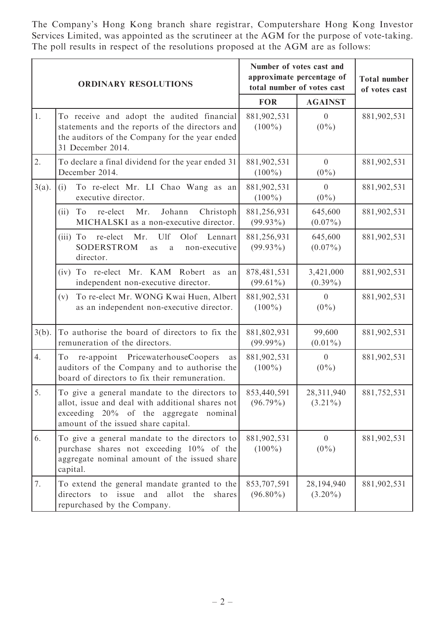The Company's Hong Kong branch share registrar, Computershare Hong Kong Investor Services Limited, was appointed as the scrutineer at the AGM for the purpose of vote-taking. The poll results in respect of the resolutions proposed at the AGM are as follows:

| <b>ORDINARY RESOLUTIONS</b> |                                                                                                                                                                                          | Number of votes cast and<br>approximate percentage of<br>total number of votes cast |                           | <b>Total number</b><br>of votes cast |
|-----------------------------|------------------------------------------------------------------------------------------------------------------------------------------------------------------------------------------|-------------------------------------------------------------------------------------|---------------------------|--------------------------------------|
|                             |                                                                                                                                                                                          | <b>FOR</b>                                                                          | <b>AGAINST</b>            |                                      |
| 1.                          | To receive and adopt the audited financial<br>statements and the reports of the directors and<br>the auditors of the Company for the year ended<br>31 December 2014.                     | 881,902,531<br>$(100\%)$                                                            | $\overline{0}$<br>$(0\%)$ | 881,902,531                          |
| 2.                          | To declare a final dividend for the year ended 31<br>December 2014.                                                                                                                      | 881,902,531<br>$(100\%)$                                                            | $\overline{0}$<br>$(0\%)$ | 881,902,531                          |
| $3(a)$ .                    | (i)<br>To re-elect Mr. LI Chao Wang as an<br>executive director.                                                                                                                         | 881,902,531<br>$(100\%)$                                                            | $\overline{0}$<br>$(0\%)$ | 881,902,531                          |
|                             | Johann<br>Christoph<br>To<br>re-elect<br>Mr.<br>(ii)<br>MICHALSKI as a non-executive director.                                                                                           | 881,256,931<br>$(99.93\%)$                                                          | 645,600<br>$(0.07\%)$     | 881,902,531                          |
|                             | Ulf<br>Olof<br>re-elect Mr.<br>Lennart<br>$(iii)$ To<br>SODERSTROM<br>non-executive<br>as<br>a<br>director.                                                                              | 881,256,931<br>$(99.93\%)$                                                          | 645,600<br>$(0.07\%)$     | 881,902,531                          |
|                             | (iv) To re-elect Mr. KAM Robert as<br>an<br>independent non-executive director.                                                                                                          | 878,481,531<br>$(99.61\%)$                                                          | 3,421,000<br>$(0.39\%)$   | 881,902,531                          |
|                             | To re-elect Mr. WONG Kwai Huen, Albert<br>(v)<br>as an independent non-executive director.                                                                                               | 881,902,531<br>$(100\%)$                                                            | $\theta$<br>$(0\%)$       | 881,902,531                          |
| $3(b)$ .                    | To authorise the board of directors to fix the<br>remuneration of the directors.                                                                                                         | 881,802,931<br>$(99.99\%)$                                                          | 99,600<br>$(0.01\%)$      | 881,902,531                          |
| 4.                          | re-appoint PricewaterhouseCoopers<br>To<br>as<br>auditors of the Company and to authorise the<br>board of directors to fix their remuneration.                                           | 881,902,531<br>$(100\%)$                                                            | $\overline{0}$<br>$(0\%)$ | 881,902,531                          |
| 5.                          | To give a general mandate to the directors to<br>allot, issue and deal with additional shares not<br>exceeding $20\%$ of the aggregate<br>nominal<br>amount of the issued share capital. | 853,440,591<br>$(96.79\%)$                                                          | 28,311,940<br>$(3.21\%)$  | 881,752,531                          |
| 6.                          | To give a general mandate to the directors to<br>purchase shares not exceeding 10% of the<br>aggregate nominal amount of the issued share<br>capital.                                    | 881,902,531<br>$(100\%)$                                                            | $\overline{0}$<br>$(0\%)$ | 881,902,531                          |
| 7.                          | To extend the general mandate granted to the<br>directors<br>to issue<br>and<br>allot<br>the<br>shares<br>repurchased by the Company.                                                    | 853,707,591<br>$(96.80\%)$                                                          | 28,194,940<br>$(3.20\%)$  | 881,902,531                          |